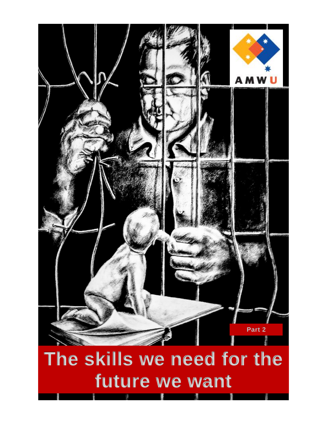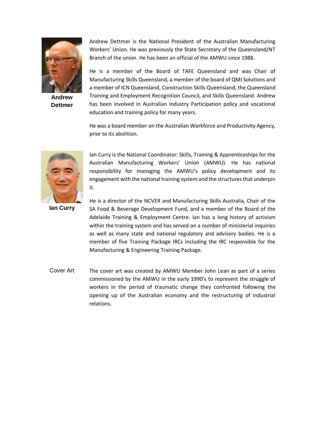

**Andrew Dettmer**

Andrew Dettmer is the National President of the Australian Manufacturing Workers' Union. He was previously the State Secretary of the Queensland/NT Branch of the union. He has been an official of the AMWU since 1988.

He is a member of the Board of TAFE Queensland and was Chair of Manufacturing Skills Queensland, a member of the board of QMI Solutions and a member of ICN Queensland, Construction Skills Queensland, the Queensland Training and Employment Recognition Council, and Skills Queensland. Andrew has been involved in Australian Industry Participation policy and vocational education and training policy for many years.

He was a board member on the Australian Workforce and Productivity Agency, prior to its abolition.



Ian Curry is the National Coordinator: Skills, Training & Apprenticeships for the Australian Manufacturing Workers' Union (AMWU). He has national responsibility for managing the AMWU's policy development and its engagement with the national training system and the structures that underpin it.

**Ian Curry**

He is a director of the NCVER and Manufacturing Skills Australia, Chair of the SA Food & Beverage Development Fund, and a member of the Board of the Adelaide Training & Employment Centre. Ian has a long history of activism within the training system and has served on a number of ministerial inquiries as well as many state and national regulatory and advisory bodies. He is a member of five Training Package IRCs including the IRC responsible for the Manufacturing & Engineering Training Package.

Cover Art The cover art was created by AMWU Member John Lean as part of a series commissioned by the AMWU in the early 1990's to represent the struggle of workers in the period of traumatic change they confronted following the opening up of the Australian economy and the restructuring of industrial relations.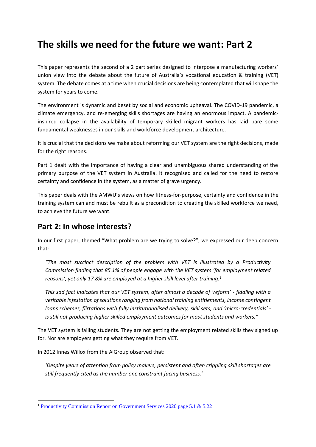# **The skills we need for the future we want: Part 2**

This paper represents the second of a 2 part series designed to interpose a manufacturing workers' union view into the debate about the future of Australia's vocational education & training (VET) system. The debate comes at a time when crucial decisions are being contemplated that will shape the system for years to come.

The environment is dynamic and beset by social and economic upheaval. The COVID-19 pandemic, a climate emergency, and re-emerging skills shortages are having an enormous impact. A pandemicinspired collapse in the availability of temporary skilled migrant workers has laid bare some fundamental weaknesses in our skills and workforce development architecture.

It is crucial that the decisions we make about reforming our VET system are the right decisions, made for the right reasons.

Part 1 dealt with the importance of having a clear and unambiguous shared understanding of the primary purpose of the VET system in Australia. It recognised and called for the need to restore certainty and confidence in the system, as a matter of grave urgency.

This paper deals with the AMWU's views on how fitness-for-purpose, certainty and confidence in the training system can and must be rebuilt as a precondition to creating the skilled workforce we need, to achieve the future we want.

# **Part 2: In whose interests?**

In our first paper, themed "What problem are we trying to solve?", we expressed our deep concern that:

*"The most succinct description of the problem with VET is illustrated by a Productivity Commission finding that 85.1% of people engage with the VET system 'for employment related reasons', yet only 17.8% are employed at a higher skill level after training.<sup>1</sup>*

*This sad fact indicates that our VET system, after almost a decade of 'reform' - fiddling with a veritable infestation of solutions ranging from national training entitlements, income contingent loans schemes, flirtations with fully institutionalised delivery, skill sets, and 'micro-credentials' is still not producing higher skilled employment outcomes for most students and workers."*

The VET system is failing students. They are not getting the employment related skills they signed up for. Nor are employers getting what they require from VET.

In 2012 Innes Willox from the AiGroup observed that:

*'Despite years of attention from policy makers, persistent and often crippling skill shortages are still frequently cited as the number one constraint facing business.'*

<sup>1</sup> [Productivity Commission Report on Government Services 2020 page 5.1 & 5.22](https://www.pc.gov.au/research/ongoing/report-on-government-services/2020/child-care-education-and-training/vocational-education-and-training)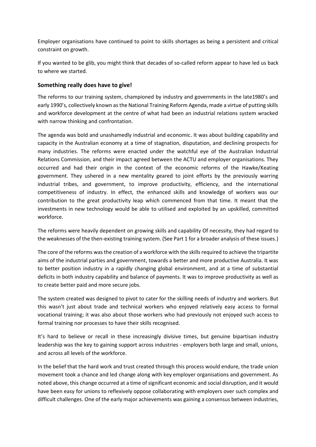Employer organisations have continued to point to skills shortages as being a persistent and critical constraint on growth.

If you wanted to be glib, you might think that decades of so-called reform appear to have led us back to where we started.

#### **Something really does have to give!**

The reforms to our training system, championed by industry and governments in the late1980's and early 1990's, collectively known as the National Training Reform Agenda, made a virtue of putting skills and workforce development at the centre of what had been an industrial relations system wracked with narrow thinking and confrontation.

The agenda was bold and unashamedly industrial and economic. It was about building capability and capacity in the Australian economy at a time of stagnation, disputation, and declining prospects for many industries. The reforms were enacted under the watchful eye of the Australian Industrial Relations Commission, and their impact agreed between the ACTU and employer organisations. They occurred and had their origin in the context of the economic reforms of the Hawke/Keating government. They ushered in a new mentality geared to joint efforts by the previously warring industrial tribes, and government, to improve productivity, efficiency, and the international competitiveness of industry. In effect, the enhanced skills and knowledge of workers was our contribution to the great productivity leap which commenced from that time. It meant that the investments in new technology would be able to utilised and exploited by an upskilled, committed workforce.

The reforms were heavily dependent on growing skills and capability Of necessity, they had regard to the weaknesses of the then-existing training system. (See Part 1 for a broader analysis of these issues.)

The core of the reforms was the creation of a workforce with the skills required to achieve the tripartite aims of the industrial parties and government, towards a better and more productive Australia. It was to better position industry in a rapidly changing global environment, and at a time of substantial deficits in both industry capability and balance of payments. It was to improve productivity as well as to create better paid and more secure jobs.

The system created was designed to pivot to cater for the skilling needs of industry and workers. But this wasn't just about trade and technical workers who enjoyed relatively easy access to formal vocational training; it was also about those workers who had previously not enjoyed such access to formal training nor processes to have their skills recognised.

It's hard to believe or recall in these increasingly divisive times, but genuine bipartisan industry leadership was the key to gaining support across industries - employers both large and small, unions, and across all levels of the workforce.

In the belief that the hard work and trust created through this process would endure, the trade union movement took a chance and led change along with key employer organisations and government. As noted above, this change occurred at a time of significant economic and social disruption, and it would have been easy for unions to reflexively oppose collaborating with employers over such complex and difficult challenges. One of the early major achievements was gaining a consensus between industries,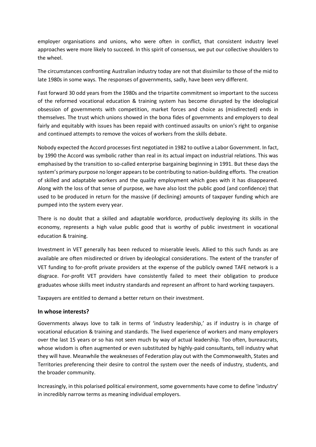employer organisations and unions, who were often in conflict, that consistent industry level approaches were more likely to succeed. In this spirit of consensus, we put our collective shoulders to the wheel.

The circumstances confronting Australian industry today are not that dissimilar to those of the mid to late 1980s in some ways. The responses of governments, sadly, have been very different.

Fast forward 30 odd years from the 1980s and the tripartite commitment so important to the success of the reformed vocational education & training system has become disrupted by the ideological obsession of governments with competition, market forces and choice as (misdirected) ends in themselves. The trust which unions showed in the bona fides of governments and employers to deal fairly and equitably with issues has been repaid with continued assaults on union's right to organise and continued attempts to remove the voices of workers from the skills debate.

Nobody expected the Accord processes first negotiated in 1982 to outlive a Labor Government. In fact, by 1990 the Accord was symbolic rather than real in its actual impact on industrial relations. This was emphasised by the transition to so-called enterprise bargaining beginning in 1991. But these days the system's primary purpose no longer appears to be contributing to nation-building efforts. The creation of skilled and adaptable workers and the quality employment which goes with it has disappeared. Along with the loss of that sense of purpose, we have also lost the public good (and confidence) that used to be produced in return for the massive (if declining) amounts of taxpayer funding which are pumped into the system every year.

There is no doubt that a skilled and adaptable workforce, productively deploying its skills in the economy, represents a high value public good that is worthy of public investment in vocational education & training.

Investment in VET generally has been reduced to miserable levels. Allied to this such funds as are available are often misdirected or driven by ideological considerations. The extent of the transfer of VET funding to for-profit private providers at the expense of the publicly owned TAFE network is a disgrace. For-profit VET providers have consistently failed to meet their obligation to produce graduates whose skills meet industry standards and represent an affront to hard working taxpayers.

Taxpayers are entitled to demand a better return on their investment.

#### **In whose interests?**

Governments always love to talk in terms of 'industry leadership,' as if industry is in charge of vocational education & training and standards. The lived experience of workers and many employers over the last 15 years or so has not seen much by way of actual leadership. Too often, bureaucrats, whose wisdom is often augmented or even substituted by highly-paid consultants, tell industry what they will have. Meanwhile the weaknesses of Federation play out with the Commonwealth, States and Territories preferencing their desire to control the system over the needs of industry, students, and the broader community.

Increasingly, in this polarised political environment, some governments have come to define 'industry' in incredibly narrow terms as meaning individual employers.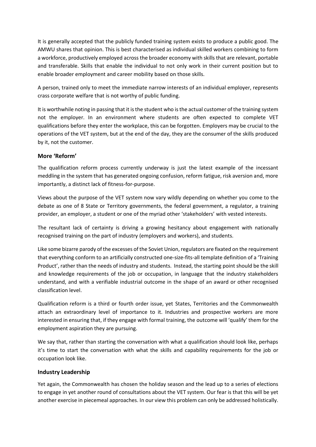It is generally accepted that the publicly funded training system exists to produce a public good. The AMWU shares that opinion. This is best characterised as individual skilled workers combining to form a workforce, productively employed across the broader economy with skills that are relevant, portable and transferable. Skills that enable the individual to not only work in their current position but to enable broader employment and career mobility based on those skills.

A person, trained only to meet the immediate narrow interests of an individual employer, represents crass corporate welfare that is not worthy of public funding.

It is worthwhile noting in passing that it is the student who is the actual customer of the training system not the employer. In an environment where students are often expected to complete VET qualifications before they enter the workplace, this can be forgotten. Employers may be crucial to the operations of the VET system, but at the end of the day, they are the consumer of the skills produced by it, not the customer.

#### **More 'Reform'**

The qualification reform process currently underway is just the latest example of the incessant meddling in the system that has generated ongoing confusion, reform fatigue, risk aversion and, more importantly, a distinct lack of fitness-for-purpose.

Views about the purpose of the VET system now vary wildly depending on whether you come to the debate as one of 8 State or Territory governments, the federal government, a regulator, a training provider, an employer, a student or one of the myriad other 'stakeholders' with vested interests.

The resultant lack of certainty is driving a growing hesitancy about engagement with nationally recognised training on the part of industry (employers and workers), and students.

Like some bizarre parody of the excesses of the Soviet Union, regulators are fixated on the requirement that everything conform to an artificially constructed one-size-fits-all template definition of a 'Training Product', rather than the needs of industry and students. Instead, the starting point should be the skill and knowledge requirements of the job or occupation, in language that the industry stakeholders understand, and with a verifiable industrial outcome in the shape of an award or other recognised classification level.

Qualification reform is a third or fourth order issue, yet States, Territories and the Commonwealth attach an extraordinary level of importance to it. Industries and prospective workers are more interested in ensuring that, if they engage with formal training, the outcome will 'qualify' them for the employment aspiration they are pursuing.

We say that, rather than starting the conversation with what a qualification should look like, perhaps it's time to start the conversation with what the skills and capability requirements for the job or occupation look like.

# **Industry Leadership**

Yet again, the Commonwealth has chosen the holiday season and the lead up to a series of elections to engage in yet another round of consultations about the VET system. Our fear is that this will be yet another exercise in piecemeal approaches. In our view this problem can only be addressed holistically.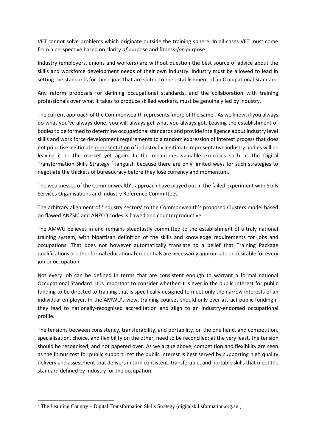VET cannot solve problems which originate outside the training sphere. In all cases VET must come from a perspective based on clarity *of* purpose and fitness-*for*-purpose.

Industry (employers, unions and workers) are without question the best source of advice about the skills and workforce development needs of their own industry. Industry must be allowed to lead in setting the standards for those jobs that are suited to the establishment of an Occupational Standard.

Any reform proposals for defining occupational standards, and the collaboration with training professionals over what it takes to produce skilled workers, must be genuinely led by industry.

The current approach of the Commonwealth represents 'more of the same'. As we know, if you always do what you've always done, you will always get what you always got. Leaving the establishment of bodies to be formed to determine occupational standards and provide intelligence about industry level skills and work force development requirements to a random expression of interest process that does not prioritise legitimate representation of industry by legitimate representative industry bodies will be leaving it to the market yet again. In the meantime, valuable exercises such as the Digital Transformation Skills Strategy<sup>2</sup> languish because there are only limited ways for such strategies to negotiate the thickets of bureaucracy before they lose currency and momentum.

The weaknesses of the Commonwealth's approach have played out in the failed experiment with Skills Services Organisations and Industry Reference Committees.

The arbitrary alignment of 'industry sectors' to the Commonwealth's proposed Clusters model based on flawed ANZSIC and ANZCO codes is flawed and counterproductive.

The AMWU believes in and remains steadfastly committed to the establishment of a truly national training system, with bipartisan definition of the skills and knowledge requirements for jobs and occupations. That does not however automatically translate to a belief that Training Package qualifications or other formal educational credentials are necessarily appropriate or desirable for every job or occupation.

Not every job can be defined in terms that are consistent enough to warrant a formal national Occupational Standard. It is important to consider whether it is ever in the public interest for public funding to be directed to training that is specifically designed to meet only the narrow interests of an individual employer. In the AMWU's view, training courses should only ever attract public funding if they lead to nationally-recognised accreditation and align to an industry-endorsed occupational profile.

The tensions between consistency, transferability, and portability, on the one hand, and competition, specialisation, choice, and flexibility on the other, need to be reconciled; at the very least, the tension should be recognised, and not papered over. As we argue above, competition and flexibility are seen as the litmus test for public support. Yet the public interest is best served by supporting high quality delivery and assessment that delivers in turn consistent, transferable, and portable skills that meet the standard defined by industry for the occupation.

<sup>&</sup>lt;sup>2</sup> The Learning Country – Digital Transformation Skills Strategy (digitalskillsformation.org.au )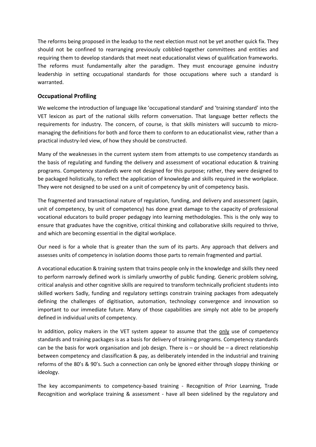The reforms being proposed in the leadup to the next election must not be yet another quick fix. They should not be confined to rearranging previously cobbled-together committees and entities and requiring them to develop standards that meet neat educationalist views of qualification frameworks. The reforms must fundamentally alter the paradigm. They must encourage genuine industry leadership in setting occupational standards for those occupations where such a standard is warranted.

### **Occupational Profiling**

We welcome the introduction of language like 'occupational standard' and 'training standard' into the VET lexicon as part of the national skills reform conversation. That language better reflects the requirements for industry. The concern, of course, is that skills ministers will succumb to micromanaging the definitions for both and force them to conform to an educationalist view, rather than a practical industry-led view, of how they should be constructed.

Many of the weaknesses in the current system stem from attempts to use competency standards as the basis of regulating and funding the delivery and assessment of vocational education & training programs. Competency standards were not designed for this purpose; rather, they were designed to be packaged holistically, to reflect the application of knowledge and skills required in the workplace. They were not designed to be used on a unit of competency by unit of competency basis.

The fragmented and transactional nature of regulation, funding, and delivery and assessment (again, unit of competency, by unit of competency) has done great damage to the capacity of professional vocational educators to build proper pedagogy into learning methodologies. This is the only way to ensure that graduates have the cognitive, critical thinking and collaborative skills required to thrive, and which are becoming essential in the digital workplace.

Our need is for a whole that is greater than the sum of its parts. Any approach that delivers and assesses units of competency in isolation dooms those parts to remain fragmented and partial.

A vocational education & training system that trains people only in the knowledge and skills they need to perform narrowly defined work is similarly unworthy of public funding. Generic problem solving, critical analysis and other cognitive skills are required to transform technically proficient students into skilled workers Sadly, funding and regulatory settings constrain training packages from adequately defining the challenges of digitisation, automation, technology convergence and innovation so important to our immediate future. Many of those capabilities are simply not able to be properly defined in individual units of competency.

In addition, policy makers in the VET system appear to assume that the only use of competency standards and training packages is as a basis for delivery of training programs. Competency standards can be the basis for work organisation and job design. There is  $-$  or should be  $-$  a direct relationship between competency and classification & pay, as deliberately intended in the industrial and training reforms of the 80's & 90's. Such a connection can only be ignored either through sloppy thinking or ideology.

The key accompaniments to competency-based training - Recognition of Prior Learning, Trade Recognition and workplace training & assessment - have all been sidelined by the regulatory and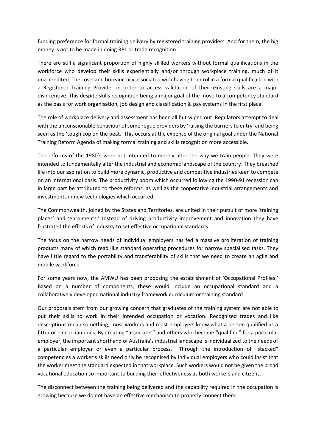funding preference for formal training delivery by registered training providers. And for them, the big money is not to be made in doing RPL or trade recognition.

There are still a significant proportion of highly skilled workers without formal qualifications in the workforce who develop their skills experientially and/or through workplace training, much of it unaccredited. The costs and bureaucracy associated with having to enrol in a formal qualification with a Registered Training Provider in order to access validation of their existing skills are a major disincentive. This despite skills recognition being a major goal of the move to a competency standard as the basis for work organisation, job design and classification & pay systems in the first place.

The role of workplace delivery and assessment has been all but wiped out. Regulators attempt to deal with the unconscionable behaviour of some rogue providers by 'raising the barriers to entry' and being seen as the 'tough cop on the beat.' This occurs at the expense of the original goal under the National Training Reform Agenda of making formal training and skills recognition more accessible.

The reforms of the 1980's were not intended to merely alter the way we train people. They were intended to fundamentally alter the industrial and economic landscape of the country. They breathed life into our aspiration to build more dynamic, productive and competitive industries keen to compete on an international basis. The productivity boom which occurred following the 1990-91 recession can in large part be attributed to these reforms, as well as the cooperative industrial arrangements and investments in new technologies which occurred.

The Commonwealth, joined by the States and Territories, are united in their pursuit of more 'training places' and 'enrolments.' Instead of driving productivity improvement and innovation they have frustrated the efforts of industry to set effective occupational standards.

The focus on the narrow needs of individual employers has fed a massive proliferation of training products many of which read like standard operating procedures for narrow specialised tasks. They have little regard to the portability and transferability of skills that we need to create an agile and mobile workforce.

For some years now, the AMWU has been proposing the establishment of 'Occupational Profiles.' Based on a number of components, these would include an occupational standard and a collaboratively developed national industry framework curriculum or training standard.

Our proposals stem from our growing concern that graduates of the training system are not able to put their skills to work in their intended occupation or vocation. Recognised trades and like descriptions mean something; most workers and most employers know what a person qualified as a fitter or electrician does. By creating "associates" and others who become "qualified" for a particular employer, the important shorthand of Australia's industrial landscape is individualized to the needs of a particular employer or even a particular process. Through the introduction of "stacked" competencies a worker's skills need only be recognised by individual employers who could insist that the worker meet the standard expected in that workplace. Such workers would not be given the broad vocational education so important to building their effectiveness as both workers and citizens.

The disconnect between the training being delivered and the capability required in the occupation is growing because we do not have an effective mechanism to properly connect them.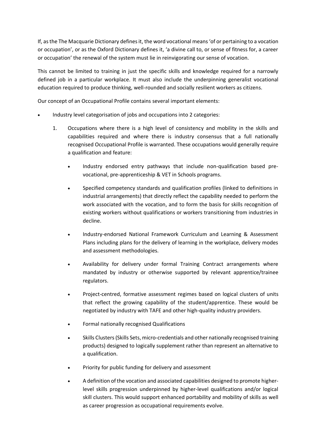If, as the The Macquarie Dictionary defines it, the word vocational means 'of or pertaining to a vocation or occupation', or as the Oxford Dictionary defines it, 'a divine call to, or sense of fitness for, a career or occupation' the renewal of the system must lie in reinvigorating our sense of vocation.

This cannot be limited to training in just the specific skills and knowledge required for a narrowly defined job in a particular workplace. It must also include the underpinning generalist vocational education required to produce thinking, well-rounded and socially resilient workers as citizens.

Our concept of an Occupational Profile contains several important elements:

- Industry level categorisation of jobs and occupations into 2 categories:
	- 1. Occupations where there is a high level of consistency and mobility in the skills and capabilities required and where there is industry consensus that a full nationally recognised Occupational Profile is warranted. These occupations would generally require a qualification and feature:
		- Industry endorsed entry pathways that include non-qualification based prevocational, pre-apprenticeship & VET in Schools programs.
		- Specified competency standards and qualification profiles (linked to definitions in industrial arrangements) that directly reflect the capability needed to perform the work associated with the vocation, and to form the basis for skills recognition of existing workers without qualifications or workers transitioning from industries in decline.
		- Industry-endorsed National Framework Curriculum and Learning & Assessment Plans including plans for the delivery of learning in the workplace, delivery modes and assessment methodologies.
		- Availability for delivery under formal Training Contract arrangements where mandated by industry or otherwise supported by relevant apprentice/trainee regulators.
		- Project-centred, formative assessment regimes based on logical clusters of units that reflect the growing capability of the student/apprentice. These would be negotiated by industry with TAFE and other high-quality industry providers.
		- Formal nationally recognised Qualifications
		- Skills Clusters (Skills Sets, micro-credentials and other nationally recognised training products) designed to logically supplement rather than represent an alternative to a qualification.
		- Priority for public funding for delivery and assessment
		- A definition of the vocation and associated capabilities designed to promote higherlevel skills progression underpinned by higher-level qualifications and/or logical skill clusters. This would support enhanced portability and mobility of skills as well as career progression as occupational requirements evolve.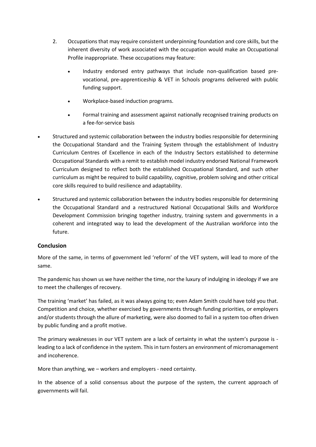- 2. Occupations that may require consistent underpinning foundation and core skills, but the inherent diversity of work associated with the occupation would make an Occupational Profile inappropriate. These occupations may feature:
	- Industry endorsed entry pathways that include non-qualification based prevocational, pre-apprenticeship & VET in Schools programs delivered with public funding support.
	- Workplace-based induction programs.
	- Formal training and assessment against nationally recognised training products on a fee-for-service basis
- Structured and systemic collaboration between the industry bodies responsible for determining the Occupational Standard and the Training System through the establishment of Industry Curriculum Centres of Excellence in each of the Industry Sectors established to determine Occupational Standards with a remit to establish model industry endorsed National Framework Curriculum designed to reflect both the established Occupational Standard, and such other curriculum as might be required to build capability, cognitive, problem solving and other critical core skills required to build resilience and adaptability.
- Structured and systemic collaboration between the industry bodies responsible for determining the Occupational Standard and a restructured National Occupational Skills and Workforce Development Commission bringing together industry, training system and governments in a coherent and integrated way to lead the development of the Australian workforce into the future.

# **Conclusion**

More of the same, in terms of government led 'reform' of the VET system, will lead to more of the same.

The pandemic has shown us we have neither the time, nor the luxury of indulging in ideology if we are to meet the challenges of recovery.

The training 'market' has failed, as it was always going to; even Adam Smith could have told you that. Competition and choice, whether exercised by governments through funding priorities, or employers and/or students through the allure of marketing, were also doomed to fail in a system too often driven by public funding and a profit motive.

The primary weaknesses in our VET system are a lack of certainty in what the system's purpose is leading to a lack of confidence in the system. This in turn fosters an environment of micromanagement and incoherence.

More than anything, we – workers and employers - need certainty.

In the absence of a solid consensus about the purpose of the system, the current approach of governments will fail.